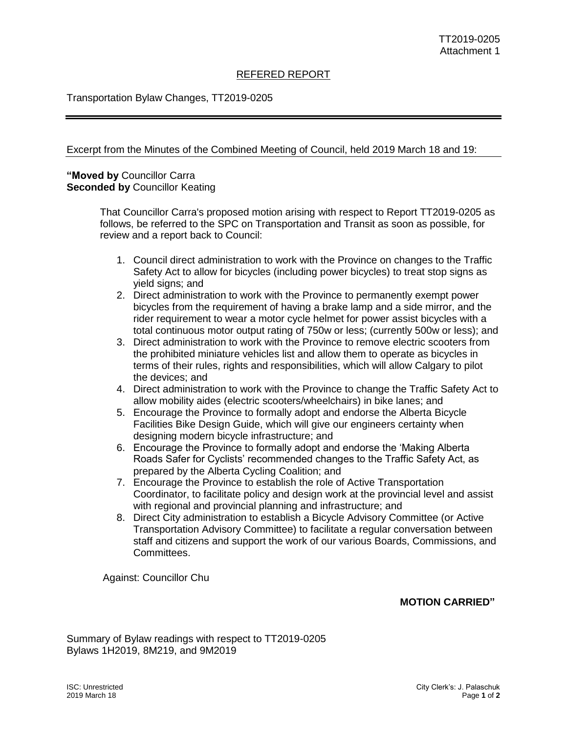#### REFERED REPORT

### Transportation Bylaw Changes, TT2019-0205

#### Excerpt from the Minutes of the Combined Meeting of Council, held 2019 March 18 and 19:

### **"Moved by** Councillor Carra **Seconded by** Councillor Keating

That Councillor Carra's proposed motion arising with respect to Report TT2019-0205 as follows, be referred to the SPC on Transportation and Transit as soon as possible, for review and a report back to Council:

- 1. Council direct administration to work with the Province on changes to the Traffic Safety Act to allow for bicycles (including power bicycles) to treat stop signs as yield signs; and
- 2. Direct administration to work with the Province to permanently exempt power bicycles from the requirement of having a brake lamp and a side mirror, and the rider requirement to wear a motor cycle helmet for power assist bicycles with a total continuous motor output rating of 750w or less; (currently 500w or less); and
- 3. Direct administration to work with the Province to remove electric scooters from the prohibited miniature vehicles list and allow them to operate as bicycles in terms of their rules, rights and responsibilities, which will allow Calgary to pilot the devices; and
- 4. Direct administration to work with the Province to change the Traffic Safety Act to allow mobility aides (electric scooters/wheelchairs) in bike lanes; and
- 5. Encourage the Province to formally adopt and endorse the Alberta Bicycle Facilities Bike Design Guide, which will give our engineers certainty when designing modern bicycle infrastructure; and
- 6. Encourage the Province to formally adopt and endorse the 'Making Alberta Roads Safer for Cyclists' recommended changes to the Traffic Safety Act, as prepared by the Alberta Cycling Coalition; and
- 7. Encourage the Province to establish the role of Active Transportation Coordinator, to facilitate policy and design work at the provincial level and assist with regional and provincial planning and infrastructure; and
- 8. Direct City administration to establish a Bicycle Advisory Committee (or Active Transportation Advisory Committee) to facilitate a regular conversation between staff and citizens and support the work of our various Boards, Commissions, and Committees.

Against: Councillor Chu

## **MOTION CARRIED"**

Summary of Bylaw readings with respect to TT2019-0205 Bylaws 1H2019, 8M219, and 9M2019